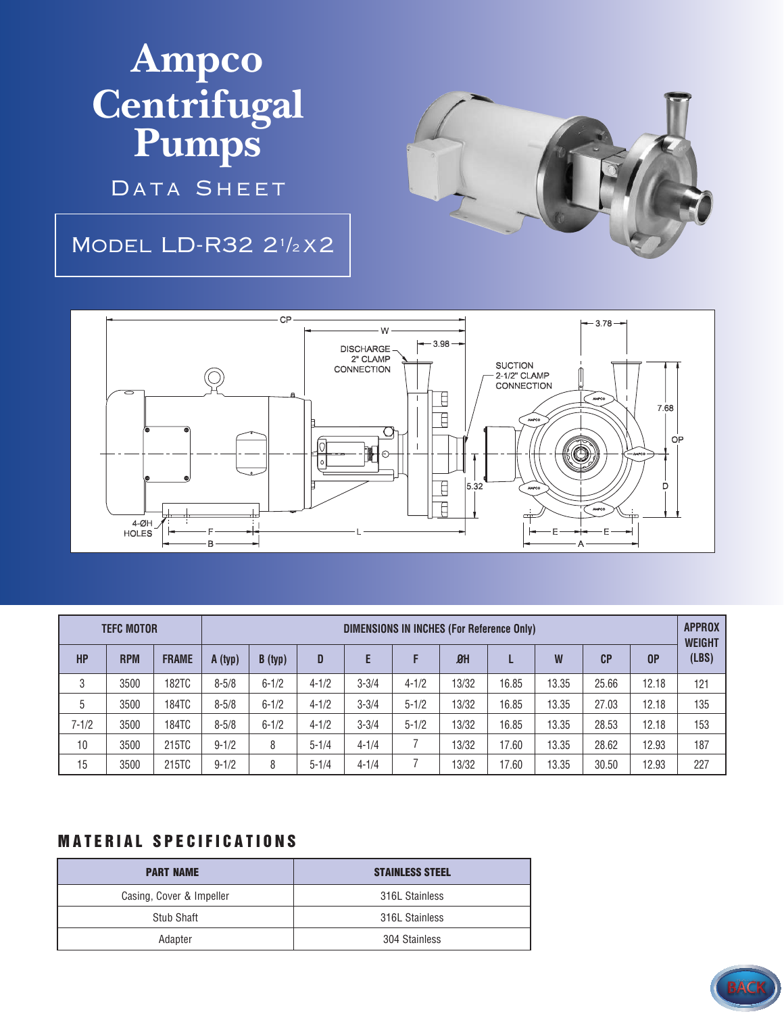## **Ampco Centrifugal Pumps**

DATA SHEET

## Model LD-R32 2<sup>1</sup> /<sup>2</sup> x2





| <b>TEFC MOTOR</b> |            |              | <b>DIMENSIONS IN INCHES (For Reference Only)</b> |           |           |           |           |       |       |       |                |                | <b>APPROX</b><br><b>WEIGHT</b> |
|-------------------|------------|--------------|--------------------------------------------------|-----------|-----------|-----------|-----------|-------|-------|-------|----------------|----------------|--------------------------------|
| <b>HP</b>         | <b>RPM</b> | <b>FRAME</b> | A (typ)                                          | B(typ)    | D         | E         |           | $B$ H |       | W     | C <sub>P</sub> | 0 <sup>P</sup> | (LBS)                          |
| 3                 | 3500       | 182TC        | $8 - 5/8$                                        | $6 - 1/2$ | $4 - 1/2$ | $3 - 3/4$ | $4 - 1/2$ | 13/32 | 16.85 | 13.35 | 25.66          | 12.18          | 121                            |
| 5                 | 3500       | 184TC        | $8 - 5/8$                                        | $6 - 1/2$ | $4 - 1/2$ | $3 - 3/4$ | $5 - 1/2$ | 13/32 | 16.85 | 13.35 | 27.03          | 12.18          | 135                            |
| $7 - 1/2$         | 3500       | 184TC        | $8 - 5/8$                                        | $6 - 1/2$ | $4 - 1/2$ | $3 - 3/4$ | $5 - 1/2$ | 13/32 | 16.85 | 13.35 | 28.53          | 12.18          | 153                            |
| 10                | 3500       | 215TC        | $9 - 1/2$                                        | 8         | $5 - 1/4$ | $4 - 1/4$ |           | 13/32 | 17.60 | 13.35 | 28.62          | 12.93          | 187                            |
| 15                | 3500       | 215TC        | $9 - 1/2$                                        | 8         | $5 - 1/4$ | $4 - 1/4$ |           | 13/32 | 17.60 | 13.35 | 30.50          | 12.93          | 227                            |

## **MATERIAL SPECIFICATIONS**

| <b>PART NAME</b>         | <b>STAINLESS STEEL</b> |
|--------------------------|------------------------|
| Casing, Cover & Impeller | 316L Stainless         |
| Stub Shaft               | 316L Stainless         |
| Adapter                  | 304 Stainless          |